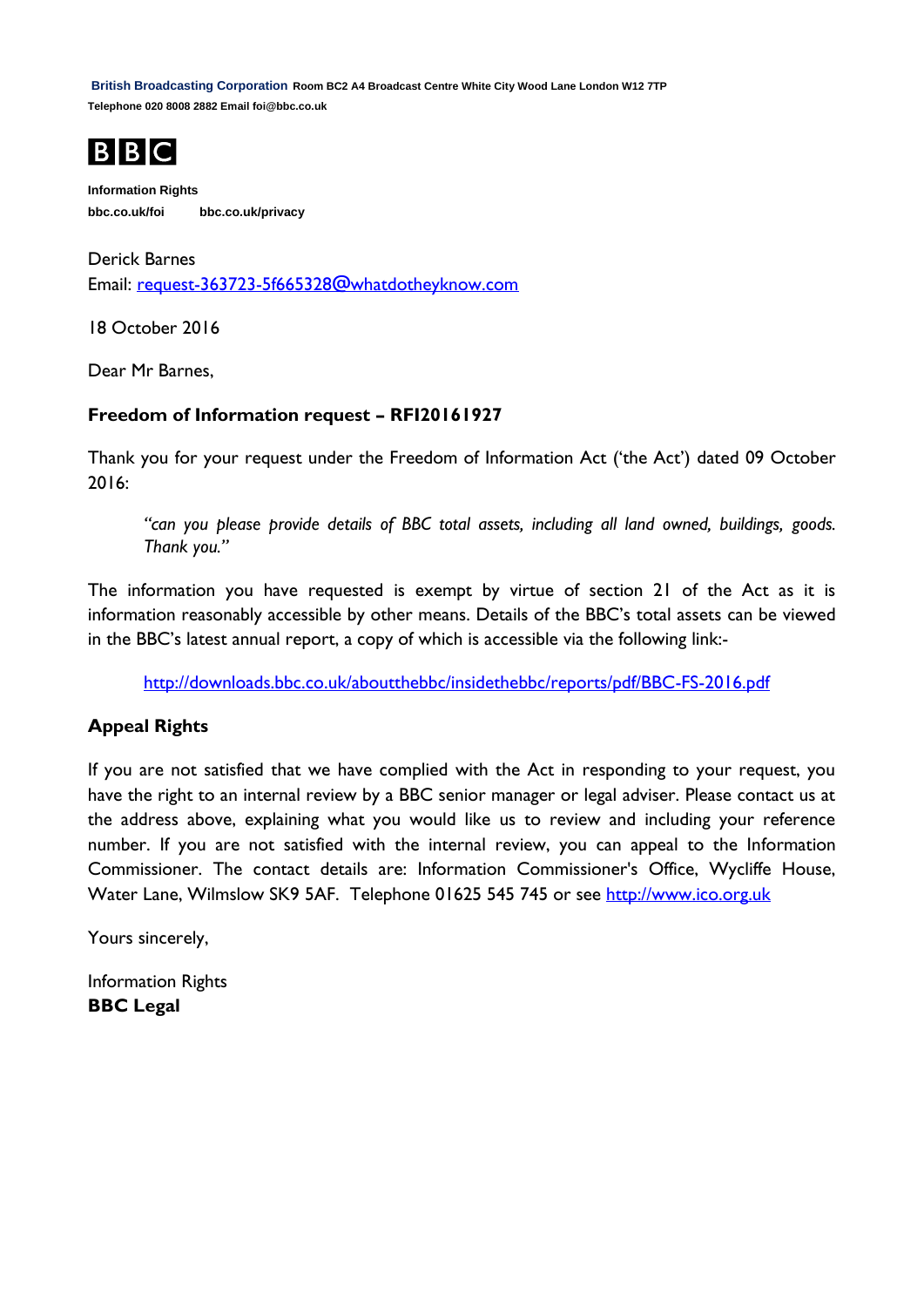**British Broadcasting Corporation Room BC2 A4 Broadcast Centre White City Wood Lane London W12 7TP Telephone 020 8008 2882 Email foi@bbc.co.uk**



**Information Rights bbc.co.uk/foi bbc.co.uk/privacy**

Derick Barnes Email: [request-363723-5f665328@whatdotheyknow.com](mailto:xxxxxxxxxxxxxxxxxxxxxxx@xxxxxxxxxxxxxx.xxx)

18 October 2016

Dear Mr Barnes,

### **Freedom of Information request – RFI20161927**

Thank you for your request under the Freedom of Information Act ('the Act') dated 09 October 2016:

*"can you please provide details of BBC total assets, including all land owned, buildings, goods. Thank you."*

The information you have requested is exempt by virtue of section 21 of the Act as it is information reasonably accessible by other means. Details of the BBC's total assets can be viewed in the BBC's latest annual report, a copy of which is accessible via the following link:-

<http://downloads.bbc.co.uk/aboutthebbc/insidethebbc/reports/pdf/BBC-FS-2016.pdf>

# **Appeal Rights**

If you are not satisfied that we have complied with the Act in responding to your request, you have the right to an internal review by a BBC senior manager or legal adviser. Please contact us at the address above, explaining what you would like us to review and including your reference number. If you are not satisfied with the internal review, you can appeal to the Information Commissioner. The contact details are: Information Commissioner's Office, Wycliffe House, Water Lane, Wilmslow SK9 5AF. Telephone 01625 545 745 or see [http://www.ico.org.uk](http://www.ico.org.uk/)

Yours sincerely,

Information Rights **BBC Legal**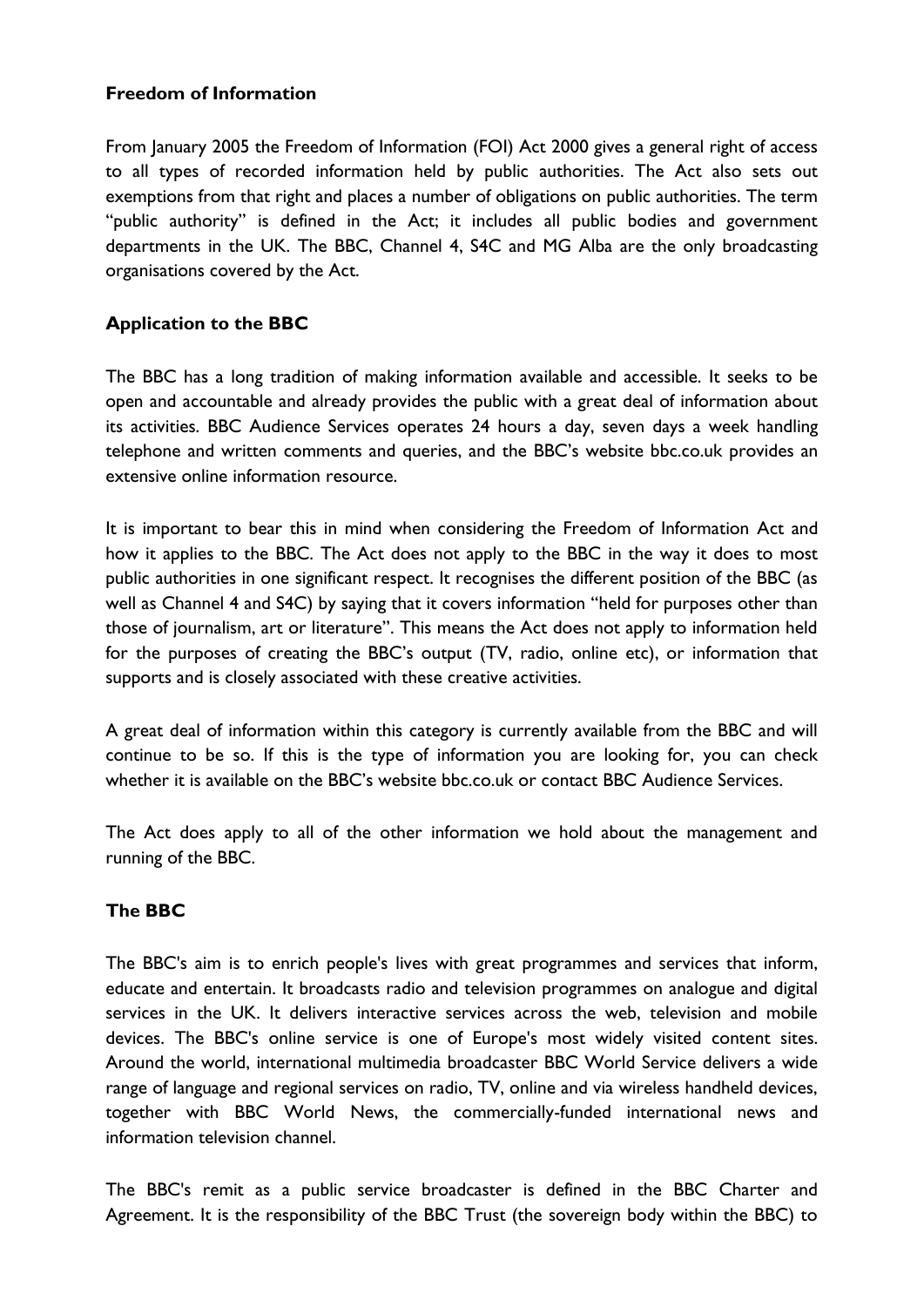#### **Freedom of Information**

From January 2005 the Freedom of Information (FOI) Act 2000 gives a general right of access to all types of recorded information held by public authorities. The Act also sets out exemptions from that right and places a number of obligations on public authorities. The term "public authority" is defined in the Act; it includes all public bodies and government departments in the UK. The BBC, Channel 4, S4C and MG Alba are the only broadcasting organisations covered by the Act.

# **Application to the BBC**

The BBC has a long tradition of making information available and accessible. It seeks to be open and accountable and already provides the public with a great deal of information about its activities. BBC Audience Services operates 24 hours a day, seven days a week handling telephone and written comments and queries, and the BBC's website bbc.co.uk provides an extensive online information resource.

It is important to bear this in mind when considering the Freedom of Information Act and how it applies to the BBC. The Act does not apply to the BBC in the way it does to most public authorities in one significant respect. It recognises the different position of the BBC (as well as Channel 4 and S4C) by saying that it covers information "held for purposes other than those of journalism, art or literature". This means the Act does not apply to information held for the purposes of creating the BBC's output (TV, radio, online etc), or information that supports and is closely associated with these creative activities.

A great deal of information within this category is currently available from the BBC and will continue to be so. If this is the type of information you are looking for, you can check whether it is available on the BBC's website bbc.co.uk or contact BBC Audience Services.

The Act does apply to all of the other information we hold about the management and running of the BBC.

# **The BBC**

The BBC's aim is to enrich people's lives with great programmes and services that inform, educate and entertain. It broadcasts radio and television programmes on analogue and digital services in the UK. It delivers interactive services across the web, television and mobile devices. The BBC's online service is one of Europe's most widely visited content sites. Around the world, international multimedia broadcaster BBC World Service delivers a wide range of language and regional services on radio, TV, online and via wireless handheld devices, together with BBC World News, the commercially-funded international news and information television channel.

The BBC's remit as a public service broadcaster is defined in the BBC Charter and Agreement. It is the responsibility of the BBC Trust (the sovereign body within the BBC) to